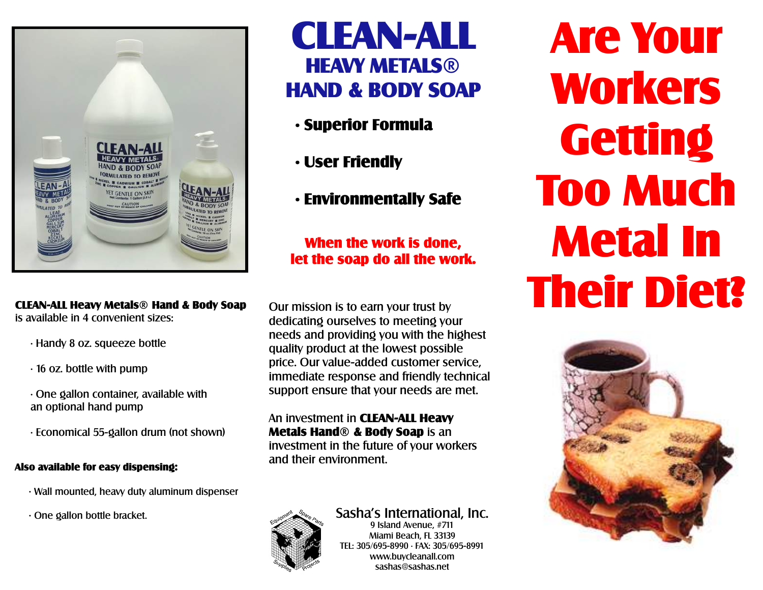

 CLEAN-ALL Heavy Metals® Hand & Body Soap is available in 4 convenient sizes:

- Handy 8 oz. squeeze bottle
- 16 oz. bottle with pump
- One gallon container, available with an optional hand pump
- Economical 55-gallon drum (not shown)

## Also available for easy dispensing:

- Wall mounted, heavy duty aluminum dispenser
- One gallon bottle bracket.



- Superior Formula
- User Friendly
- Environmentally Safe

When the work is done, let the soap do all the work.

Our mission is to earn your trust by dedicating ourselves to meeting your needs and providing you with the highest quality product at the lowest possible price. Our value-added customer service, immediate response and friendly technical support ensure that your needs are met.

An investment in CLEAN-ALL Heavy Metals Hand® & Body Soap is an investment in the future of your workers and their environment.



#### Sasha's International, Inc. 9 Island Avenue, #711 Miami Beach, FL 33139

TEL: 305/695-8990 • FAX: 305/695-8991 www.buycleanall.com sashas@sashas.net

Are Your Workers **Getting** Too Much Metal In Their Diet?